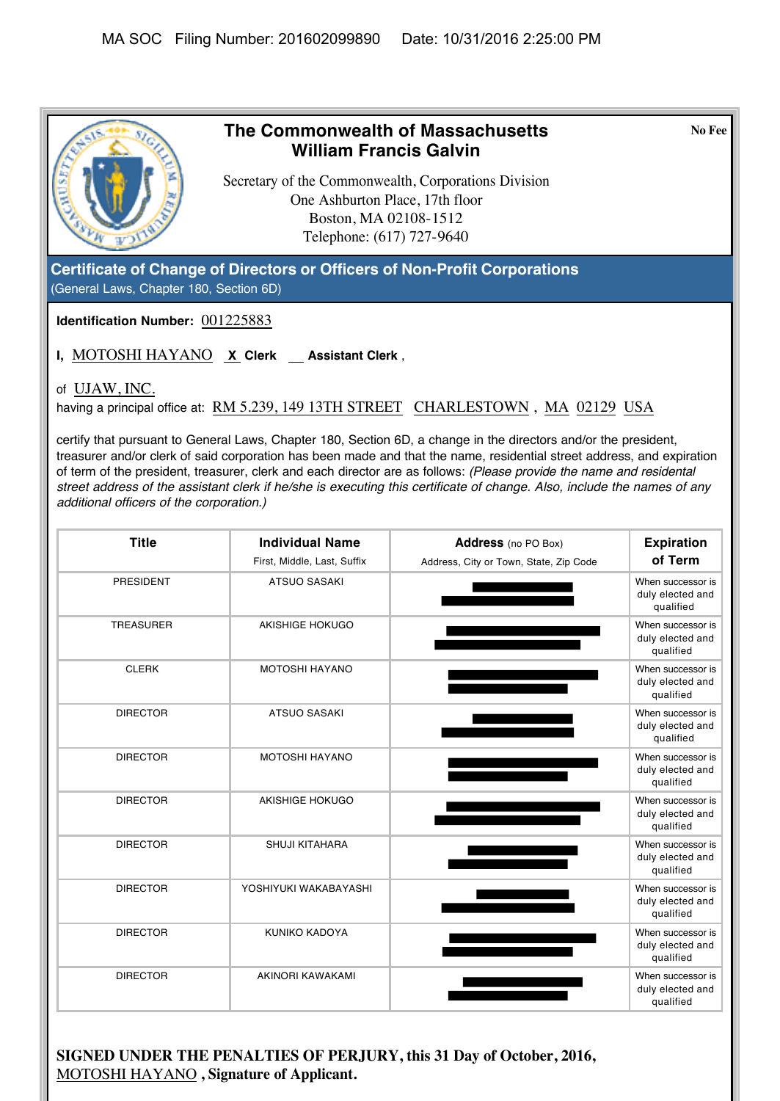

**SIGNED UNDER THE PENALTIES OF PERJURY, this 31 Day of October, 2016,**  MOTOSHI HAYANO **, Signature of Applicant.**